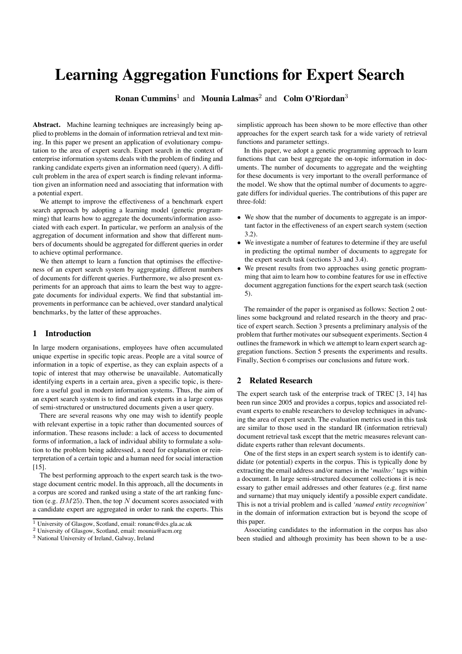# **Learning Aggregation Functions for Expert Search**

**Ronan Cummins**<sup>1</sup> and **Mounia Lalmas**<sup>2</sup> and **Colm O'Riordan**<sup>3</sup>

**Abstract.** Machine learning techniques are increasingly being applied to problems in the domain of information retrieval and text mining. In this paper we present an application of evolutionary computation to the area of expert search. Expert search in the context of enterprise information systems deals with the problem of finding and ranking candidate experts given an information need (query). A difficult problem in the area of expert search is finding relevant information given an information need and associating that information with a potential expert.

We attempt to improve the effectiveness of a benchmark expert search approach by adopting a learning model (genetic programming) that learns how to aggregate the documents/information associated with each expert. In particular, we perform an analysis of the aggregation of document information and show that different numbers of documents should be aggregated for different queries in order to achieve optimal performance.

We then attempt to learn a function that optimises the effectiveness of an expert search system by aggregating different numbers of documents for different queries. Furthermore, we also present experiments for an approach that aims to learn the best way to aggregate documents for individual experts. We find that substantial improvements in performance can be achieved, over standard analytical benchmarks, by the latter of these approaches.

#### **1 Introduction**

In large modern organisations, employees have often accumulated unique expertise in specific topic areas. People are a vital source of information in a topic of expertise, as they can explain aspects of a topic of interest that may otherwise be unavailable. Automatically identifying experts in a certain area, given a specific topic, is therefore a useful goal in modern information systems. Thus, the aim of an expert search system is to find and rank experts in a large corpus of semi-structured or unstructured documents given a user query.

There are several reasons why one may wish to identify people with relevant expertise in a topic rather than documented sources of information. These reasons include: a lack of access to documented forms of information, a lack of individual ability to formulate a solution to the problem being addressed, a need for explanation or reinterpretation of a certain topic and a human need for social interaction  $[15]$ .

The best performing approach to the expert search task is the twostage document centric model. In this approach, all the documents in a corpus are scored and ranked using a state of the art ranking function (e.g.  $BM25$ ). Then, the top N document scores associated with a candidate expert are aggregated in order to rank the experts. This simplistic approach has been shown to be more effective than other approaches for the expert search task for a wide variety of retrieval functions and parameter settings.

In this paper, we adopt a genetic programming approach to learn functions that can best aggregate the on-topic information in documents. The number of documents to aggregate and the weighting for these documents is very important to the overall performance of the model. We show that the optimal number of documents to aggregate differs for individual queries. The contributions of this paper are three-fold:

- We show that the number of documents to aggregate is an important factor in the effectiveness of an expert search system (section 3.2).
- We investigate a number of features to determine if they are useful in predicting the optimal number of documents to aggregate for the expert search task (sections 3.3 and 3.4).
- We present results from two approaches using genetic programming that aim to learn how to combine features for use in effective document aggregation functions for the expert search task (section 5).

The remainder of the paper is organised as follows: Section 2 outlines some background and related research in the theory and practice of expert search. Section 3 presents a preliminary analysis of the problem that further motivates our subsequent experiments. Section 4 outlines the framework in which we attempt to learn expert search aggregation functions. Section 5 presents the experiments and results. Finally, Section 6 comprises our conclusions and future work.

# **2 Related Research**

The expert search task of the enterprise track of TREC [3, 14] has been run since 2005 and provides a corpus, topics and associated relevant experts to enable researchers to develop techniques in advancing the area of expert search. The evaluation metrics used in this task are similar to those used in the standard IR (information retrieval) document retrieval task except that the metric measures relevant candidate experts rather than relevant documents.

One of the first steps in an expert search system is to identify candidate (or potential) experts in the corpus. This is typically done by extracting the email address and/or names in the '*mailto:*' tags within a document. In large semi-structured document collections it is necessary to gather email addresses and other features (e.g. first name and surname) that may uniquely identify a possible expert candidate. This is not a trivial problem and is called *'named entity recognition'* in the domain of information extraction but is beyond the scope of this paper.

Associating candidates to the information in the corpus has also been studied and although proximity has been shown to be a use-

<sup>&</sup>lt;sup>1</sup> University of Glasgow, Scotland, email: ronanc@dcs.gla.ac.uk <sup>2</sup> University of Glasgow, Scotland, email: mounia@acm.org

<sup>3</sup> National University of Ireland, Galway, Ireland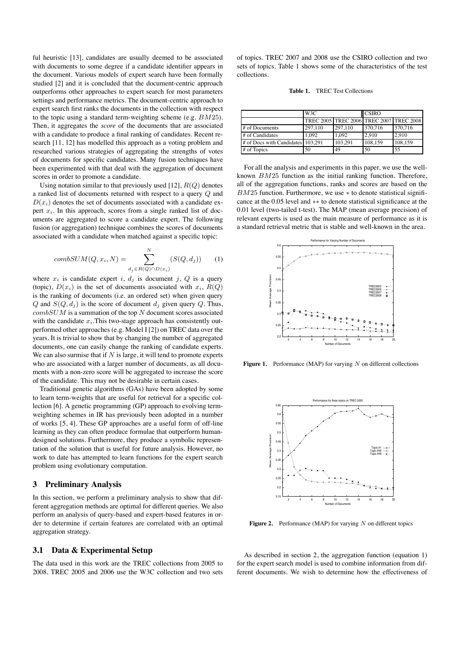ful heuristic [13], candidates are usually deemed to be associated with documents to some degree if a candidate identifier appears in the document. Various models of expert search have been formally studied [2] and it is concluded that the document-centric approach outperforms other approaches to expert search for most parameters settings and performance metrics. The document-centric approach to expert search first ranks the documents in the collection with respect to the topic using a standard term-weighting scheme (e.g. BM25). Then, it aggregates the *score* of the documents that are associated with a candidate to produce a final ranking of candidates. Recent research [11, 12] has modelled this approach as a voting problem and researched various strategies of aggregating the strengths of votes of documents for specific candidates. Many fusion techniques have been experimented with that deal with the aggregation of document scores in order to promote a candidate.

Using notation similar to that previously used [12],  $R(Q)$  denotes a ranked list of documents returned with respect to a query Q and  $D(x_i)$  denotes the set of documents associated with a candidate expert  $x_i$ . In this approach, scores from a single ranked list of documents are aggregated to score a candidate expert. The following fusion (or aggregation) technique combines the scores of documents associated with a candidate when matched against a specific topic:

$$
combSUM(Q, x_i, N) = \sum_{d_j \in R(Q) \cap D(x_i)}^{N} (S(Q, d_j)) \qquad (1)
$$

where  $x_i$  is candidate expert i,  $d_i$  is document j, Q is a query (topic),  $D(x_i)$  is the set of documents associated with  $x_i$ ,  $R(Q)$ is the ranking of documents (i.e. an ordered set) when given query Q and  $S(Q, d_i)$  is the score of document  $d_i$  given query Q. Thus,  $combSUM$  is a summation of the top  $N$  document scores associated with the candidate  $x_i$ . This two-stage approach has consistently outperformed other approaches (e.g. Model I [2]) on TREC data over the years. It is trivial to show that by changing the number of aggregated documents, one can easily change the ranking of candidate experts. We can also surmise that if  $N$  is large, it will tend to promote experts who are associated with a larger number of documents, as all documents with a non-zero score will be aggregated to increase the score of the candidate. This may not be desirable in certain cases.

Traditional genetic algorithms (GAs) have been adopted by some to learn term-weights that are useful for retrieval for a specific collection [6]. A genetic programming (GP) approach to evolving termweighting schemes in IR has previously been adopted in a number of works [5, 4]. These GP approaches are a useful form of off-line learning as they can often produce formulae that outperform humandesigned solutions. Furthermore, they produce a symbolic representation of the solution that is useful for future analysis. However, no work to date has attempted to learn functions for the expert search problem using evolutionary computation.

#### **3 Preliminary Analysis**

In this section, we perform a preliminary analysis to show that different aggregation methods are optimal for different queries. We also perform an analysis of query-based and expert-based features in order to determine if certain features are correlated with an optimal aggregation strategy.

#### **3.1 Data & Experimental Setup**

The data used in this work are the TREC collections from 2005 to 2008. TREC 2005 and 2006 use the W3C collection and two sets of topics. TREC 2007 and 2008 use the CSIRO collection and two sets of topics. Table 1 shows some of the characteristics of the test collections.

| Table 1. | <b>TREC</b> Test Collections |
|----------|------------------------------|
|          |                              |

|                                   | W3C                                     |         | <b>CSIRO</b> |         |  |
|-----------------------------------|-----------------------------------------|---------|--------------|---------|--|
|                                   | TREC 2005 TREC 2006 TREC 2007 TREC 2008 |         |              |         |  |
| # of Documents                    | 297,110                                 | 297,110 | 370,716      | 370,716 |  |
| # of Candidates                   | 1.092                                   | 1.092   | 2.910        | 2.910   |  |
| # of Docs with Candidates 103,291 |                                         | 103.291 | 108,159      | 108,159 |  |
| # of Topics                       | 50                                      | 49      | 50           | 55      |  |

For all the analysis and experiments in this paper, we use the wellknown  $BM25$  function as the initial ranking function. Therefore, all of the aggregation functions, ranks and scores are based on the  $BM25$  function. Furthermore, we use  $*$  to denote statistical significance at the 0.05 level and ∗∗ to denote statistical significance at the 0.01 level (two-tailed t-test). The MAP (mean average precision) of relevant experts is used as the main measure of performance as it is a standard retrieval metric that is stable and well-known in the area.



Figure 1. Performance (MAP) for varying N on different collections



**Figure 2.** Performance (MAP) for varying N on different topics

As described in section 2, the aggregation function (equation 1) for the expert search model is used to combine information from different documents. We wish to determine how the effectiveness of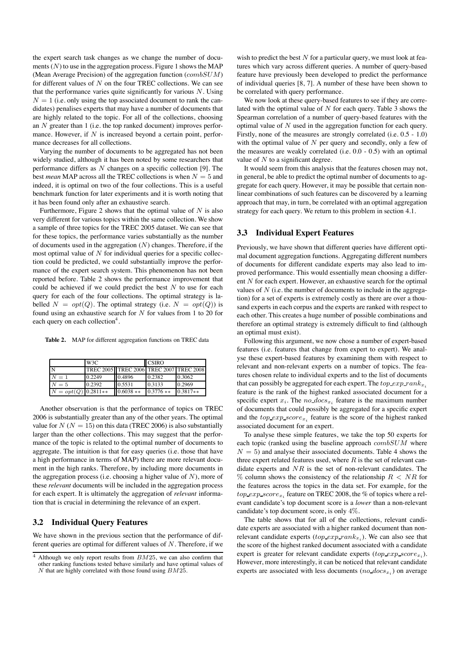the expert search task changes as we change the number of documents  $(N)$  to use in the aggregation process. Figure 1 shows the MAP (Mean Average Precision) of the aggregation function  $(combSUM)$ for different values of  $N$  on the four TREC collections. We can see that the performance varies quite significantly for various  $N$ . Using  $N = 1$  (i.e. only using the top associated document to rank the candidates) penalises experts that may have a number of documents that are highly related to the topic. For all of the collections, choosing an N greater than 1 (i.e. the top ranked document) improves performance. However, if  $N$  is increased beyond a certain point, performance decreases for all collections.

Varying the number of documents to be aggregated has not been widely studied, although it has been noted by some researchers that performance differs as N changes on a specific collection [9]. The best *mean* MAP across all the TREC collections is when  $N = 5$  and indeed, it is optimal on two of the four collections. This is a useful benchmark function for later experiments and it is worth noting that it has been found only after an exhaustive search.

Furthermore, Figure 2 shows that the optimal value of  $N$  is also very different for various topics within the same collection. We show a sample of three topics for the TREC 2005 dataset. We can see that for these topics, the performance varies substantially as the number of documents used in the aggregation  $(N)$  changes. Therefore, if the most optimal value of  $N$  for individual queries for a specific collection could be predicted, we could substantially improve the performance of the expert search system. This phenomenon has not been reported before. Table 2 shows the performance improvement that could be achieved if we could predict the best  $N$  to use for each query for each of the four collections. The optimal strategy is labelled  $N = opt(Q)$ . The optimal strategy (i.e.  $N = opt(Q)$ ) is found using an exhaustive search for  $N$  for values from 1 to 20 for each query on each collection<sup>4</sup>.

**Table 2.** MAP for different aggregation functions on TREC data

|                       | W <sub>3</sub> C |                                               | <b>CSIRO</b> |            |  |
|-----------------------|------------------|-----------------------------------------------|--------------|------------|--|
| N                     |                  | TREC 2005   TREC 2006   TREC 2007   TREC 2008 |              |            |  |
| $N=1$                 | 0.2249           | 0.4896                                        | 0.2382       | 0.3062     |  |
| $N=5$                 | 0.2392           | 0.5531                                        | 0.3133       | 0.2969     |  |
| $N = opt(Q)$ 0.2811** |                  | $0.6038**$                                    | $0.3776$ **  | $0.3817**$ |  |

Another observation is that the performance of topics on TREC 2006 is substantially greater than any of the other years. The optimal value for  $N (N = 15)$  on this data (TREC 2006) is also substantially larger than the other collections. This may suggest that the performance of the topic is related to the optimal number of documents to aggregate. The intuition is that for easy queries (i.e. those that have a high performance in terms of MAP) there are more relevant document in the high ranks. Therefore, by including more documents in the aggregation process (i.e. choosing a higher value of  $N$ ), more of these *relevant* documents will be included in the aggregation process for each expert. It is ultimately the aggregation of *relevant* information that is crucial in determining the relevance of an expert.

# **3.2 Individual Query Features**

We have shown in the previous section that the performance of different queries are optimal for different values of  $N$ . Therefore, if we wish to predict the best  $N$  for a particular query, we must look at features which vary across different queries. A number of query-based feature have previously been developed to predict the performance of individual queries [8, 7]. A number of these have been shown to be correlated with query performance.

We now look at these query-based features to see if they are correlated with the optimal value of  $N$  for each query. Table 3 shows the Spearman correlation of a number of query-based features with the optimal value of  $N$  used in the aggregation function for each query. Firstly, none of the measures are strongly correlated (i.e. 0.5 - 1.0) with the optimal value of  $N$  per query and secondly, only a few of the measures are weakly correlated (i.e. 0.0 - 0.5) with an optimal value of  $N$  to a significant degree.

It would seem from this analysis that the features chosen may not, in general, be able to predict the optimal number of documents to aggregate for each query. However, it may be possible that certain nonlinear combinations of such features can be discovered by a learning approach that may, in turn, be correlated with an optimal aggregation strategy for each query. We return to this problem in section 4.1.

# **3.3 Individual Expert Features**

Previously, we have shown that different queries have different optimal document aggregation functions. Aggregating different numbers of documents for different candidate experts may also lead to improved performance. This would essentially mean choosing a different N for each expert. However, an exhaustive search for the optimal values of  $N$  (i.e. the number of documents to include in the aggregation) for a set of experts is extremely costly as there are over a thousand experts in each corpus and the experts are ranked with respect to each other. This creates a huge number of possible combinations and therefore an optimal strategy is extremely difficult to find (although an optimal must exist).

Following this argument, we now chose a number of expert-based features (i.e. features that change from expert to expert). We analyse these expert-based features by examining them with respect to relevant and non-relevant experts on a number of topics. The features chosen relate to individual experts and to the list of documents that can possibly be aggregated for each expert. The  $top\_exp\_rank_{x_i}$ feature is the rank of the highest ranked associated document for a specific expert  $x_i$ . The no  $docs_{x_i}$  feature is the maximum number of documents that could possibly be aggregated for a specific expert and the  $top\_exp\_score_{x_i}$  feature is the score of the highest ranked associated document for an expert.

To analyse these simple features, we take the top 50 experts for each topic (ranked using the baseline approach  $combSUM$  where  $N = 5$ ) and analyse their associated documents. Table 4 shows the three expert related features used, where  $R$  is the set of relevant candidate experts and  $NR$  is the set of non-relevant candidates. The  $\%$  column shows the consistency of the relationship  $R < NR$  for the features across the topics in the data set. For example, for the  $top\_exp\_score_{x_i}$  feature on TREC 2008, the % of topics where a relevant candidate's top document score is a *lower* than a non-relevant candidate's top document score, is only 4%.

The table shows that for all of the collections, relevant candidate experts are associated with a higher ranked document than nonrelevant candidate experts  $(top_{exp\_rank_{x_i}})$ . We can also see that the score of the highest ranked document associated with a candidate expert is greater for relevant candidate experts  $(top\_exp\_score_{x_i})$ . However, more interestingly, it can be noticed that relevant candidate experts are associated with less documents (no  $docs_{x_i}$ ) on average

 $4$  Although we only report results from  $BM25$ , we can also confirm that other ranking functions tested behave similarly and have optimal values of  $N$  that are highly correlated with those found using  $BM25$ .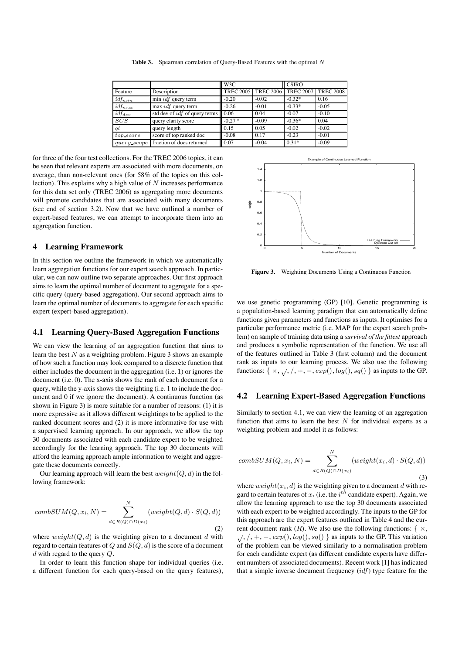|             |                                                   | W3C      |                       | <b>CSIRO</b>     |                  |  |
|-------------|---------------------------------------------------|----------|-----------------------|------------------|------------------|--|
| Feature     | Description                                       |          | TREC 2005   TREC 2006 | <b>TREC 2007</b> | <b>TREC 2008</b> |  |
| $idf_{min}$ | $min$ <i>idf</i> query term                       | $-0.20$  | $-0.02$               | $-0.32*$         | 0.16             |  |
| $idf_{max}$ | $max$ <i>idf</i> query term                       | $-0.26$  | $-0.01$               | $-0.33*$         | $-0.05$          |  |
| $idf_{dev}$ | std dev of $idf$ of query terms $\vert\vert$ 0.06 |          | 0.04                  | $-0.07$          | $-0.10$          |  |
| SCS         | query clarity score                               | $-0.27*$ | $-0.09$               | $-0.36*$         | 0.04             |  |
| ql          | query length                                      | 0.15     | 0.05                  | $-0.02$          | $-0.02$          |  |
| top score   | score of top ranked doc                           | $-0.08$  | 0.17                  | $-0.23$          | $-0.01$          |  |
| query scope | fraction of docs returned                         | 0.07     | $-0.04$               | $0.31*$          | $-0.09$          |  |

Table 3. Spearman correlation of Query-Based Features with the optimal N

for three of the four test collections. For the TREC 2006 topics, it can be seen that relevant experts are associated with more documents, on average, than non-relevant ones (for 58% of the topics on this collection). This explains why a high value of  $N$  increases performance for this data set only (TREC 2006) as aggregating more documents will promote candidates that are associated with many documents (see end of section 3.2). Now that we have outlined a number of expert-based features, we can attempt to incorporate them into an aggregation function.

#### **4 Learning Framework**

In this section we outline the framework in which we automatically learn aggregation functions for our expert search approach. In particular, we can now outline two separate approaches. Our first approach aims to learn the optimal number of document to aggregate for a specific query (query-based aggregation). Our second approach aims to learn the optimal number of documents to aggregate for each specific expert (expert-based aggregation).

#### **4.1 Learning Query-Based Aggregation Functions**

We can view the learning of an aggregation function that aims to learn the best  $N$  as a weighting problem. Figure 3 shows an example of how such a function may look compared to a discrete function that either includes the document in the aggregation (i.e. 1) or ignores the document (i.e. 0). The x-axis shows the rank of each document for a query, while the y-axis shows the weighting (i.e. 1 to include the document and 0 if we ignore the document). A continuous function (as shown in Figure 3) is more suitable for a number of reasons: (1) it is more expressive as it allows different weightings to be applied to the ranked document scores and (2) it is more informative for use with a supervised learning approach. In our approach, we allow the top 30 documents associated with each candidate expert to be weighted accordingly for the learning approach. The top 30 documents will afford the learning approach ample information to weight and aggregate these documents correctly.

Our learning approach will learn the best  $weight(Q, d)$  in the following framework:

$$
combSUM(Q, x_i, N) = \sum_{d \in R(Q) \cap D(x_i)}^{N} (weight(Q, d) \cdot S(Q, d))
$$
\n(2)

where  $weight(Q, d)$  is the weighting given to a document d with regard to certain features of  $Q$  and  $S(Q,d)$  is the score of a document  $d$  with regard to the query  $Q$ .

In order to learn this function shape for individual queries (i.e. a different function for each query-based on the query features),



**Figure 3.** Weighting Documents Using a Continuous Function

we use genetic programming (GP) [10]. Genetic programming is a population-based learning paradigm that can automatically define functions given parameters and functions as inputs. It optimises for a particular performance metric (i.e. MAP for the expert search problem) on sample of training data using a *survival of the fittest* approach and produces a symbolic representation of the function. We use all of the features outlined in Table 3 (first column) and the document rank as inputs to our learning process. We also use the following functions: {  $\times$ ,  $\sqrt{$ ,  $/$ , +, -,  $exp($ ,  $log($ ),  $sq()$ } as inputs to the GP.

#### **4.2 Learning Expert-Based Aggregation Functions**

Similarly to section 4.1, we can view the learning of an aggregation function that aims to learn the best  $N$  for individual experts as a weighting problem and model it as follows:

$$
combSUM(Q, x_i, N) = \sum_{d \in R(Q) \cap D(x_i)}^{N} (weight(x_i, d) \cdot S(Q, d))
$$
\n(3)

where  $weight(x_i, d)$  is the weighting given to a document d with regard to certain features of  $x_i$  (i.e. the  $i^{th}$  candidate expert). Again, we allow the learning approach to use the top 30 documents associated with each expert to be weighted accordingly. The inputs to the GP for this approach are the expert features outlined in Table 4 and the current document rank (R). We also use the following functions: {  $\times$ ,  $\sqrt{7}$ ,  $\sqrt{7}$ ,  $+$ ,  $-$ ,  $exp($ ),  $log($ ),  $sq()$ } as inputs to the GP. This variation of the problem can be viewed similarly to a normalisation problem for each candidate expert (as different candidate experts have different numbers of associated documents). Recent work [1] has indicated that a simple inverse document frequency  $(idf)$  type feature for the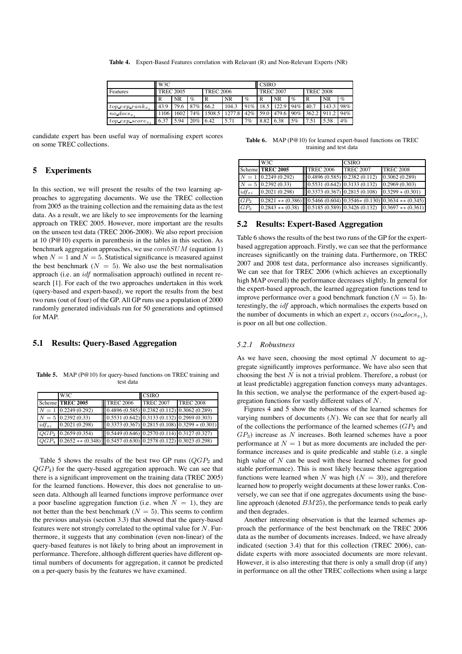**Table 4.** Expert-Based Features correlation with Relavant (R) and Non-Relevant Experts (NR)

|                       | W <sub>3</sub> C |      |           |                        |           |           |                  | <b>CSIRO</b> |      |                  |       |      |
|-----------------------|------------------|------|-----------|------------------------|-----------|-----------|------------------|--------------|------|------------------|-------|------|
| Features              | <b>TREC 2005</b> |      |           | <b>TREC 2006</b>       |           |           | <b>TREC 2007</b> |              |      | <b>TREC 2008</b> |       |      |
|                       | R                | NR   | $\%$      | R                      | <b>NR</b> | $\%$      | R                | <b>NR</b>    | $\%$ |                  | NR    | $\%$ |
| $top\ exp\ rank_{x}$  | 43.9             | 79.6 | 87\% 66.2 |                        | 104.3     | 91\% 18.5 |                  | 122.9        | 94%  | 40.7             | 143.3 | 98%  |
| $no\,$ $docs_r$ .     | 106              |      |           | 1602 74% 1508.5 1277.8 |           | 42\% 59.0 |                  |              |      | 479.6 90% 362.2  | 911.2 | 94%  |
| $top\ exp\ score_{x}$ | 6.37             | 5.94 | $20\%$    | 6.42                   | 5.71      | 7%        | 8.82             | 6.38         | 5%   | 7.51             | 5.58  | 4%   |

candidate expert has been useful way of normalising expert scores on some TREC collections.

# **5 Experiments**

In this section, we will present the results of the two learning approaches to aggregating documents. We use the TREC collection from 2005 as the training collection and the remaining data as the test data. As a result, we are likely to see improvements for the learning approach on TREC 2005. However, more important are the results on the unseen test data (TREC 2006-2008). We also report precision at 10 (P@10) experts in parenthesis in the tables in this section. As benchmark aggregation approaches, we use  $combSUM$  (equation 1) when  $N = 1$  and  $N = 5$ . Statistical significance is measured against the best benchmark ( $N = 5$ ). We also use the best normalisation approach (i.e. an idf normalisation approach) outlined in recent research [1]. For each of the two approaches undertaken in this work (query-based and expert-based), we report the results from the best two runs (out of four) of the GP. All GP runs use a population of 2000 randomly generated individuals run for 50 generations and optimsed for MAP.

### **5.1 Results: Query-Based Aggregation**

Table 5. MAP (P@10) for query-based functions on TREC training and test data

|            | W <sub>3</sub> C                                                                 |                  | <b>CSIRO</b>                                |                                                |  |
|------------|----------------------------------------------------------------------------------|------------------|---------------------------------------------|------------------------------------------------|--|
|            | Scheme TREC 2005                                                                 | <b>TREC 2006</b> | <b>TREC 2007</b>                            | <b>TREC 2008</b>                               |  |
|            | $N = 1$ 0.2249 (0.292)                                                           |                  | $0.4896(0.585) 0.2382(0.112) 0.3062(0.289)$ |                                                |  |
|            | $N = 5 \,   \, 0.2392 \, (0.33)$                                                 |                  |                                             | $0.5531(0.642) 0.3133(0.132) 0.2969(0.303)$    |  |
| $idf_{xi}$ | 0.2021(0.298)                                                                    |                  |                                             | $[0.3373(0.367) 0.2815(0.108) 0.3299*(0.301)]$ |  |
| $QGP_2$    | 0.2659(0.354)                                                                    |                  | $0.5449(0.646)0.2570(0.114)0.3127(0.327)$   |                                                |  |
|            | $QGP_4$   0.2652 $**$ (0.348)   0.5457 (0.630)   0.2578 (0.122)   0.3023 (0.298) |                  |                                             |                                                |  |

Table 5 shows the results of the best two GP runs  $(QGP<sub>2</sub>$  and  $QGP<sub>4</sub>$ ) for the query-based aggregation approach. We can see that there is a significant improvement on the training data (TREC 2005) for the learned functions. However, this does not generalise to unseen data. Although all learned functions improve performance over a poor baseline aggregation function (i.e. when  $N = 1$ ), they are not better than the best benchmark ( $N = 5$ ). This seems to confirm the previous analysis (section 3.3) that showed that the query-based features were not strongly correlated to the optimal value for  $N$ . Furthermore, it suggests that any combination (even non-linear) of the query-based features is not likely to bring about an improvement in performance. Therefore, although different queries have different optimal numbers of documents for aggregation, it cannot be predicted on a per-query basis by the features we have examined.

Table 6. MAP (P@10) for learned expert-based functions on TREC training and test data

|                 | W <sub>3</sub> C                                                                                      |  |                               | <b>CSIRO</b>     |                    |  |
|-----------------|-------------------------------------------------------------------------------------------------------|--|-------------------------------|------------------|--------------------|--|
|                 | Scheme TREC 2005                                                                                      |  | <b>TREC 2006</b>              | <b>TREC 2007</b> | <b>TREC 2008</b>   |  |
|                 | $N = 1$ 0.2249 (0.292)                                                                                |  | (0.4896(0.585) 0.2382(0.112)) |                  | 0.3062(0.289)      |  |
|                 | $N = 5 \,   \, 0.2392 \, (0.33)$                                                                      |  | (0.5531(0.642) 0.3133(0.132)) |                  | 0.2969(0.303)      |  |
| $idf_{xi}$      | 0.2021(0.298)                                                                                         |  | (0.3373(0.367) 0.2815(0.108)) |                  | $0.3299 * (0.301)$ |  |
| GP <sub>2</sub> | $[0.2821 \ast \ast (0.386)]] 0.5466 (0.604) 0.3546 \ast (0.130) 0.3634 \ast \ast (0.345)$             |  |                               |                  |                    |  |
| GP <sub>3</sub> | $\boxed{0.2843 \ast \ast (0.38) \cup 0.5185(0.589) \cup 0.3426(0.132) \cup 0.3697 \ast \ast (0.361)}$ |  |                               |                  |                    |  |

#### **5.2 Results: Expert-Based Aggregation**

Table 6 shows the results of the best two runs of the GP for the expertbased aggregation approach. Firstly, we can see that the performance increases significantly on the training data. Furthermore, on TREC 2007 and 2008 test data, performance also increases significantly. We can see that for TREC 2006 (which achieves an exceptionally high MAP overall) the performance decreases slightly. In general for the expert-based approach, the learned aggregation functions tend to improve performance over a good benchmark function ( $N = 5$ ). Interestingly, the idf approach, which normalises the experts based on the number of documents in which an expert  $x_i$  occurs (no  $docs_{x_i}$ ), is poor on all but one collection.

#### *5.2.1 Robustness*

As we have seen, choosing the most optimal  $N$  document to aggregate significantly improves performance. We have also seen that choosing the best  $N$  is not a trivial problem. Therefore, a robust (or at least predictable) aggregation function conveys many advantages. In this section, we analyse the performance of the expert-based aggregation functions for vastly different values of N.

Figures 4 and 5 show the robustness of the learned schemes for varying numbers of documents  $(N)$ . We can see that for nearly all of the collections the performance of the learned schemes  $(GP<sub>2</sub>$  and  $GP<sub>3</sub>$ ) increase as N increases. Both learned schemes have a poor performance at  $N = 1$  but as more documents are included the performance increases and is quite predicable and stable (i.e. a single high value of  $N$  can be used with these learned schemes for good stable performance). This is most likely because these aggregation functions were learned when N was high  $(N = 30)$ , and therefore learned how to properly weight documents at these lower ranks. Conversely, we can see that if one aggregates documents using the baseline approach (denoted  $BM25$ ), the performance tends to peak early and then degrades.

Another interesting observation is that the learned schemes approach the performance of the best benchmark on the TREC 2006 data as the number of documents increases. Indeed, we have already indicated (section 3.4) that for this collection (TREC 2006), candidate experts with more associated documents are more relevant. However, it is also interesting that there is only a small drop (if any) in performance on all the other TREC collections when using a large